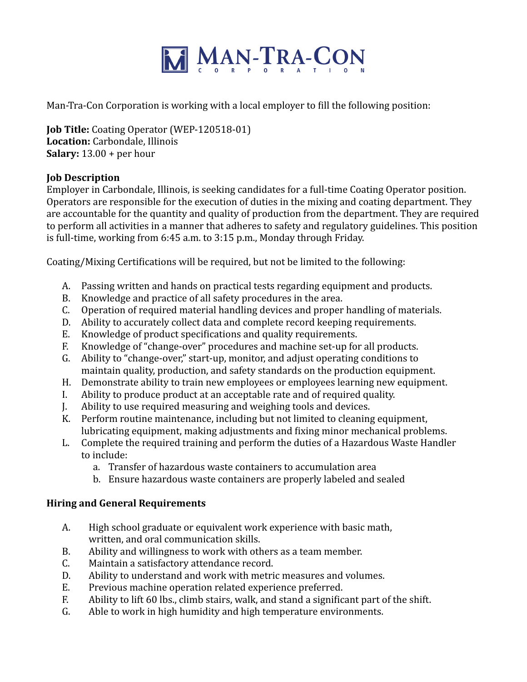

Man-Tra-Con Corporation is working with a local employer to fill the following position:

**Job Title:** Coating Operator (WEP-120518-01) **Location:** Carbondale, Illinois **Salary:**  $13.00 +$  per hour

## **Job Description**

Employer in Carbondale, Illinois, is seeking candidates for a full-time Coating Operator position. Operators are responsible for the execution of duties in the mixing and coating department. They are accountable for the quantity and quality of production from the department. They are required to perform all activities in a manner that adheres to safety and regulatory guidelines. This position is full-time, working from  $6:45$  a.m. to  $3:15$  p.m., Monday through Friday.

Coating/Mixing Certifications will be required, but not be limited to the following:

- A. Passing written and hands on practical tests regarding equipment and products.
- B. Knowledge and practice of all safety procedures in the area.
- C. Operation of required material handling devices and proper handling of materials.
- D. Ability to accurately collect data and complete record keeping requirements.
- E. Knowledge of product specifications and quality requirements.
- F. Knowledge of "change-over" procedures and machine set-up for all products.
- G. Ability to "change-over," start-up, monitor, and adjust operating conditions to maintain quality, production, and safety standards on the production equipment.
- H. Demonstrate ability to train new employees or employees learning new equipment.
- I. Ability to produce product at an acceptable rate and of required quality.
- J. Ability to use required measuring and weighing tools and devices.
- K. Perform routine maintenance, including but not limited to cleaning equipment, lubricating equipment, making adjustments and fixing minor mechanical problems.
- L. Complete the required training and perform the duties of a Hazardous Waste Handler to include:
	- a. Transfer of hazardous waste containers to accumulation area
	- b. Ensure hazardous waste containers are properly labeled and sealed

## **Hiring and General Requirements**

- A. High school graduate or equivalent work experience with basic math, written, and oral communication skills.
- B. Ability and willingness to work with others as a team member.
- C. Maintain a satisfactory attendance record.
- D. Ability to understand and work with metric measures and volumes.
- E. Previous machine operation related experience preferred.
- F. Ability to lift 60 lbs., climb stairs, walk, and stand a significant part of the shift.
- G. Able to work in high humidity and high temperature environments.